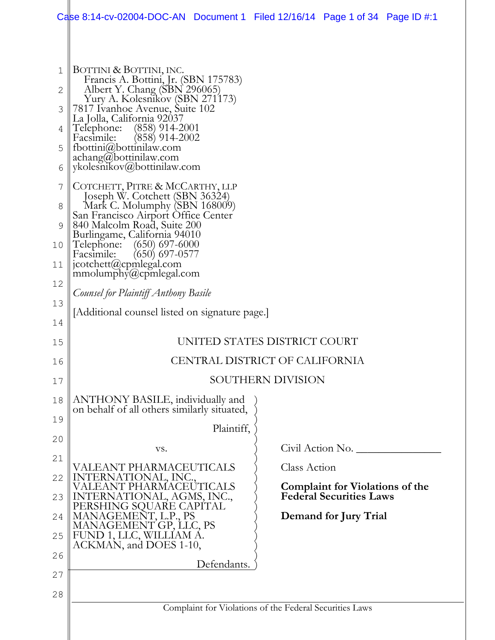|          | Case 8:14-cv-02004-DOC-AN Document 1 Filed 12/16/14 Page 1 of 34 Page ID #:1                   |             |                   |                                                                   |  |  |  |  |
|----------|------------------------------------------------------------------------------------------------|-------------|-------------------|-------------------------------------------------------------------|--|--|--|--|
|          |                                                                                                |             |                   |                                                                   |  |  |  |  |
| 1        | BOTTINI & BOTTINI, INC.<br>Francis A. Bottini, Jr. (SBN 175783)                                |             |                   |                                                                   |  |  |  |  |
| 2        | Albert Y. Chang (SBN 296065)<br>Yury A. Kolesnikov (SBN 271173)                                |             |                   |                                                                   |  |  |  |  |
| 3<br>4   | 7817 Ivanhoe Avenue, Suite 102<br>La Jolla, California 92037<br>$(858)$ 914-2001<br>Telephone: |             |                   |                                                                   |  |  |  |  |
| 5        | $(858)$ 914-2002<br>Facsimile:<br>fbottini@bottinilaw.com<br>achang@bottinilaw.com             |             |                   |                                                                   |  |  |  |  |
| 6        | ykolesnikov@bottinilaw.com                                                                     |             |                   |                                                                   |  |  |  |  |
| 7        | COTCHETT, PITRE & MCCARTHY, LLP<br>Joseph W. Cotchett (SBN 36324)                              |             |                   |                                                                   |  |  |  |  |
| 8        | Mark C. Molumphy (SBN 168009)<br>San Francisco Airport Office Center                           |             |                   |                                                                   |  |  |  |  |
| 9<br>10  | 840 Malcolm Road, Suite 200<br>Burlingame, California 94010<br>Telephone:<br>$(650)$ 697-6000  |             |                   |                                                                   |  |  |  |  |
| 11       | $(650)$ 697-0577<br>Facsimile:<br>jcotchett@cpmlegal.com                                       |             |                   |                                                                   |  |  |  |  |
| 12       | $m$ molumphy $(a)$ cpmlegal.com                                                                |             |                   |                                                                   |  |  |  |  |
| 13       | Counsel for Plaintiff Anthony Basile                                                           |             |                   |                                                                   |  |  |  |  |
| 14       | [Additional counsel listed on signature page.]                                                 |             |                   |                                                                   |  |  |  |  |
| 15       | UNITED STATES DISTRICT COURT                                                                   |             |                   |                                                                   |  |  |  |  |
| 16       | CENTRAL DISTRICT OF CALIFORNIA                                                                 |             |                   |                                                                   |  |  |  |  |
| 17       |                                                                                                |             | SOUTHERN DIVISION |                                                                   |  |  |  |  |
| 18<br>19 | ANTHONY BASILE, individually and<br>on behalf of all others similarly situated,                |             |                   |                                                                   |  |  |  |  |
|          |                                                                                                | Plaintiff,  |                   |                                                                   |  |  |  |  |
| 20       | VS.                                                                                            |             |                   | Civil Action No.                                                  |  |  |  |  |
| 21       | VALEANT PHARMACEUTICALS                                                                        |             | Class Action      |                                                                   |  |  |  |  |
| 22<br>23 | INTERNATIONAL, INC.,<br><b>EANT PHARMACEUTICALS</b><br>TERNATIONAL, AGMS, INC.,                |             |                   | Complaint for Violations of the<br><b>Federal Securities Laws</b> |  |  |  |  |
| 24       | PERSHING SQUARE CAPÍTAL<br>MANAGEMENT, L.P., PS                                                |             |                   | Demand for Jury Trial                                             |  |  |  |  |
| 25       | MANAGEMENT GP, LLC, PS<br>FUND 1, LLC, WILLÍAM Á.                                              |             |                   |                                                                   |  |  |  |  |
| 26       | ACKMAN, and DOES 1-10,                                                                         |             |                   |                                                                   |  |  |  |  |
| 27       |                                                                                                | Defendants. |                   |                                                                   |  |  |  |  |
| 28       |                                                                                                |             |                   |                                                                   |  |  |  |  |
|          | Complaint for Violations of the Federal Securities Laws                                        |             |                   |                                                                   |  |  |  |  |
|          |                                                                                                |             |                   |                                                                   |  |  |  |  |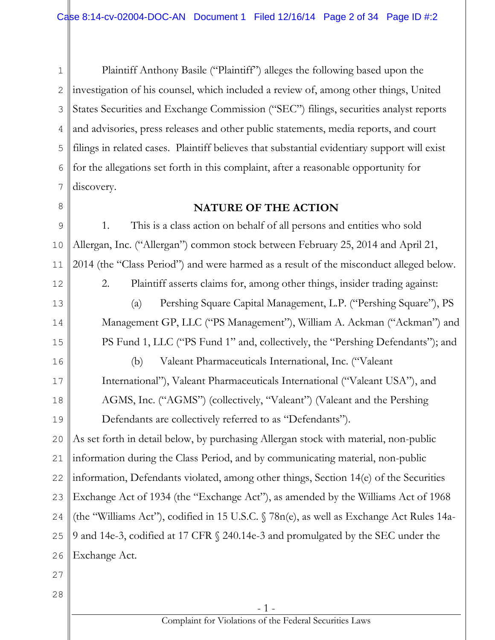1 2 3 4 5 6 7 Plaintiff Anthony Basile ("Plaintiff") alleges the following based upon the investigation of his counsel, which included a review of, among other things, United States Securities and Exchange Commission ("SEC") filings, securities analyst reports and advisories, press releases and other public statements, media reports, and court filings in related cases. Plaintiff believes that substantial evidentiary support will exist for the allegations set forth in this complaint, after a reasonable opportunity for discovery.

8

### **NATURE OF THE ACTION**

- 1 - 9 10 11 12 13 14 15 16 17 18 19 20 21 22 23 24 25 26 27 28 1. This is a class action on behalf of all persons and entities who sold Allergan, Inc. ("Allergan") common stock between February 25, 2014 and April 21, 2014 (the "Class Period") and were harmed as a result of the misconduct alleged below. 2. Plaintiff asserts claims for, among other things, insider trading against: (a) Pershing Square Capital Management, L.P. ("Pershing Square"), PS Management GP, LLC ("PS Management"), William A. Ackman ("Ackman") and PS Fund 1, LLC ("PS Fund 1" and, collectively, the "Pershing Defendants"); and (b) Valeant Pharmaceuticals International, Inc. ("Valeant International"), Valeant Pharmaceuticals International ("Valeant USA"), and AGMS, Inc. ("AGMS") (collectively, "Valeant") (Valeant and the Pershing Defendants are collectively referred to as "Defendants"). As set forth in detail below, by purchasing Allergan stock with material, non-public information during the Class Period, and by communicating material, non-public information, Defendants violated, among other things, Section 14(e) of the Securities Exchange Act of 1934 (the "Exchange Act"), as amended by the Williams Act of 1968 (the "Williams Act"), codified in 15 U.S.C. § 78n(e), as well as Exchange Act Rules 14a-9 and 14e-3, codified at 17 CFR § 240.14e-3 and promulgated by the SEC under the Exchange Act.

Complaint for Violations of the Federal Securities Laws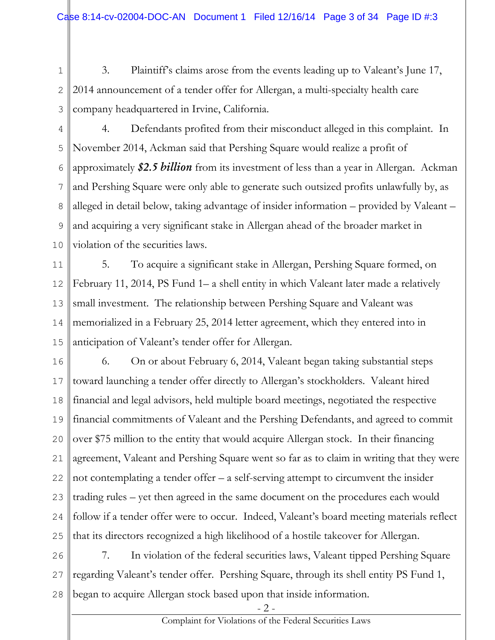1 2 3 3. Plaintiff's claims arose from the events leading up to Valeant's June 17, 2014 announcement of a tender offer for Allergan, a multi-specialty health care company headquartered in Irvine, California.

4 5 6 7 8 9 10 4. Defendants profited from their misconduct alleged in this complaint. In November 2014, Ackman said that Pershing Square would realize a profit of approximately *\$2.5 billion* from its investment of less than a year in Allergan. Ackman and Pershing Square were only able to generate such outsized profits unlawfully by, as alleged in detail below, taking advantage of insider information – provided by Valeant – and acquiring a very significant stake in Allergan ahead of the broader market in violation of the securities laws.

11 12 13 14 15 5. To acquire a significant stake in Allergan, Pershing Square formed, on February 11, 2014, PS Fund 1– a shell entity in which Valeant later made a relatively small investment. The relationship between Pershing Square and Valeant was memorialized in a February 25, 2014 letter agreement, which they entered into in anticipation of Valeant's tender offer for Allergan.

16 17 18 19 20 21 22 23 24 25 6. On or about February 6, 2014, Valeant began taking substantial steps toward launching a tender offer directly to Allergan's stockholders. Valeant hired financial and legal advisors, held multiple board meetings, negotiated the respective financial commitments of Valeant and the Pershing Defendants, and agreed to commit over \$75 million to the entity that would acquire Allergan stock. In their financing agreement, Valeant and Pershing Square went so far as to claim in writing that they were not contemplating a tender offer – a self-serving attempt to circumvent the insider trading rules – yet then agreed in the same document on the procedures each would follow if a tender offer were to occur. Indeed, Valeant's board meeting materials reflect that its directors recognized a high likelihood of a hostile takeover for Allergan.

26 27 28 7. In violation of the federal securities laws, Valeant tipped Pershing Square regarding Valeant's tender offer. Pershing Square, through its shell entity PS Fund 1, began to acquire Allergan stock based upon that inside information.

- 2 -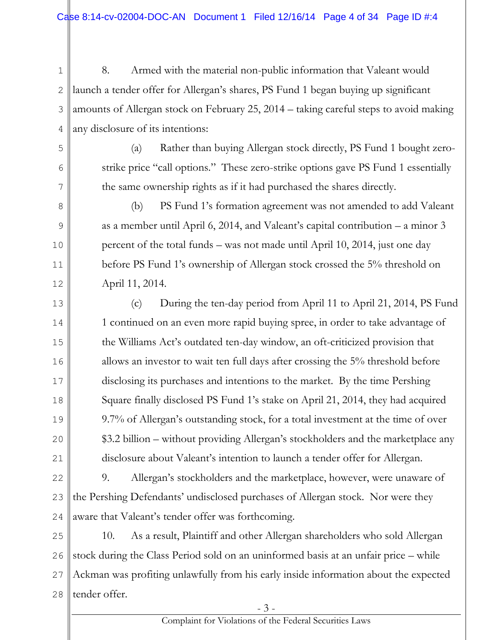1 2 3 4 8. Armed with the material non-public information that Valeant would launch a tender offer for Allergan's shares, PS Fund 1 began buying up significant amounts of Allergan stock on February 25, 2014 – taking careful steps to avoid making any disclosure of its intentions:

5

6

7

8

9

10

11

12

(a) Rather than buying Allergan stock directly, PS Fund 1 bought zerostrike price "call options." These zero-strike options gave PS Fund 1 essentially the same ownership rights as if it had purchased the shares directly.

(b) PS Fund 1's formation agreement was not amended to add Valeant as a member until April 6, 2014, and Valeant's capital contribution – a minor 3 percent of the total funds – was not made until April 10, 2014, just one day before PS Fund 1's ownership of Allergan stock crossed the 5% threshold on April 11, 2014.

13 14 15 16 17 18 19 20 21 (c) During the ten-day period from April 11 to April 21, 2014, PS Fund 1 continued on an even more rapid buying spree, in order to take advantage of the Williams Act's outdated ten-day window, an oft-criticized provision that allows an investor to wait ten full days after crossing the 5% threshold before disclosing its purchases and intentions to the market. By the time Pershing Square finally disclosed PS Fund 1's stake on April 21, 2014, they had acquired 9.7% of Allergan's outstanding stock, for a total investment at the time of over \$3.2 billion – without providing Allergan's stockholders and the marketplace any disclosure about Valeant's intention to launch a tender offer for Allergan.

22 23 24 9. Allergan's stockholders and the marketplace, however, were unaware of the Pershing Defendants' undisclosed purchases of Allergan stock. Nor were they aware that Valeant's tender offer was forthcoming.

25 26 27 28 10. As a result, Plaintiff and other Allergan shareholders who sold Allergan stock during the Class Period sold on an uninformed basis at an unfair price – while Ackman was profiting unlawfully from his early inside information about the expected tender offer.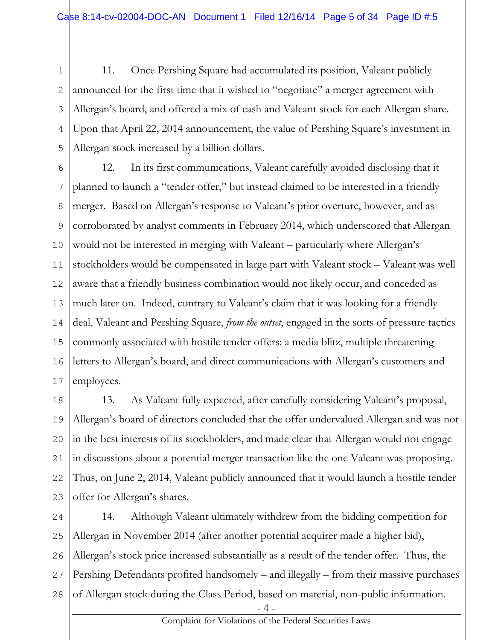1 2 3 4 5 11. Once Pershing Square had accumulated its position, Valeant publicly announced for the first time that it wished to "negotiate" a merger agreement with Allergan's board, and offered a mix of cash and Valeant stock for each Allergan share. Upon that April 22, 2014 announcement, the value of Pershing Square's investment in Allergan stock increased by a billion dollars.

6 7 8 9 10 11 12 13 14 15 16 17 12. In its first communications, Valeant carefully avoided disclosing that it planned to launch a "tender offer," but instead claimed to be interested in a friendly merger. Based on Allergan's response to Valeant's prior overture, however, and as corroborated by analyst comments in February 2014, which underscored that Allergan would not be interested in merging with Valeant – particularly where Allergan's stockholders would be compensated in large part with Valeant stock – Valeant was well aware that a friendly business combination would not likely occur, and conceded as much later on. Indeed, contrary to Valeant's claim that it was looking for a friendly deal, Valeant and Pershing Square, *from the outset*, engaged in the sorts of pressure tactics commonly associated with hostile tender offers: a media blitz, multiple threatening letters to Allergan's board, and direct communications with Allergan's customers and employees.

18 19 20 21 22 23 13. As Valeant fully expected, after carefully considering Valeant's proposal, Allergan's board of directors concluded that the offer undervalued Allergan and was not in the best interests of its stockholders, and made clear that Allergan would not engage in discussions about a potential merger transaction like the one Valeant was proposing. Thus, on June 2, 2014, Valeant publicly announced that it would launch a hostile tender offer for Allergan's shares.

24 25 26 27 28 14. Although Valeant ultimately withdrew from the bidding competition for Allergan in November 2014 (after another potential acquirer made a higher bid), Allergan's stock price increased substantially as a result of the tender offer. Thus, the Pershing Defendants profited handsomely – and illegally – from their massive purchases of Allergan stock during the Class Period, based on material, non-public information.

- 4 -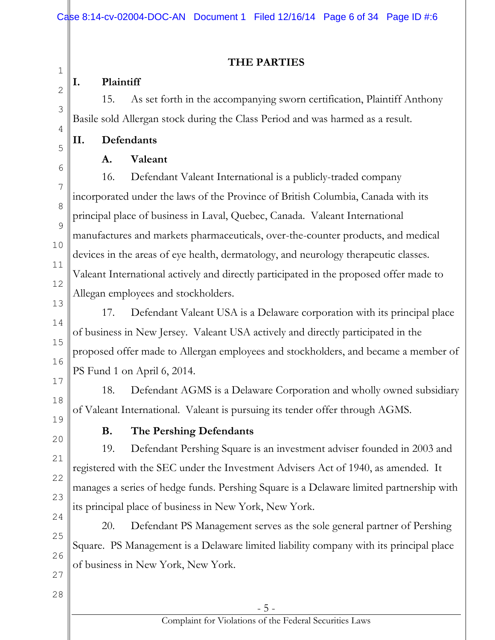# **THE PARTIES**

# **I. Plaintiff**

1

2

3

4

5

6

7

8

9

10

11

12

13

14

15

16

17

18

15. As set forth in the accompanying sworn certification, Plaintiff Anthony Basile sold Allergan stock during the Class Period and was harmed as a result.

# **II. Defendants**

# **A. Valeant**

16. Defendant Valeant International is a publicly-traded company incorporated under the laws of the Province of British Columbia, Canada with its principal place of business in Laval, Quebec, Canada. Valeant International manufactures and markets pharmaceuticals, over-the-counter products, and medical devices in the areas of eye health, dermatology, and neurology therapeutic classes. Valeant International actively and directly participated in the proposed offer made to Allegan employees and stockholders.

17. Defendant Valeant USA is a Delaware corporation with its principal place of business in New Jersey. Valeant USA actively and directly participated in the proposed offer made to Allergan employees and stockholders, and became a member of PS Fund 1 on April 6, 2014.

18. Defendant AGMS is a Delaware Corporation and wholly owned subsidiary of Valeant International. Valeant is pursuing its tender offer through AGMS.

19 20

21

22

23

# **B. The Pershing Defendants**

19. Defendant Pershing Square is an investment adviser founded in 2003 and registered with the SEC under the Investment Advisers Act of 1940, as amended. It manages a series of hedge funds. Pershing Square is a Delaware limited partnership with its principal place of business in New York, New York.

24 25 26 20. Defendant PS Management serves as the sole general partner of Pershing Square. PS Management is a Delaware limited liability company with its principal place of business in New York, New York.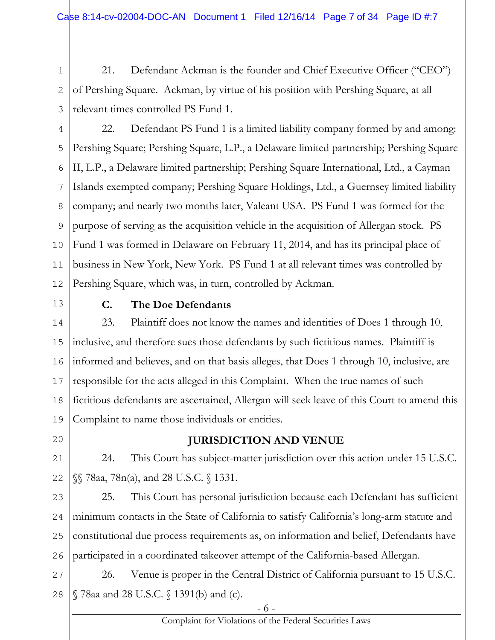1 2 3 21. Defendant Ackman is the founder and Chief Executive Officer ("CEO") of Pershing Square. Ackman, by virtue of his position with Pershing Square, at all relevant times controlled PS Fund 1.

4 5 6 7 8 9 10 11 12 22. Defendant PS Fund 1 is a limited liability company formed by and among: Pershing Square; Pershing Square, L.P., a Delaware limited partnership; Pershing Square II, L.P., a Delaware limited partnership; Pershing Square International, Ltd., a Cayman Islands exempted company; Pershing Square Holdings, Ltd., a Guernsey limited liability company; and nearly two months later, Valeant USA. PS Fund 1 was formed for the purpose of serving as the acquisition vehicle in the acquisition of Allergan stock. PS Fund 1 was formed in Delaware on February 11, 2014, and has its principal place of business in New York, New York. PS Fund 1 at all relevant times was controlled by Pershing Square, which was, in turn, controlled by Ackman.

13

# **C. The Doe Defendants**

14 15 16 17 18 19 23. Plaintiff does not know the names and identities of Does 1 through 10, inclusive, and therefore sues those defendants by such fictitious names. Plaintiff is informed and believes, and on that basis alleges, that Does 1 through 10, inclusive, are responsible for the acts alleged in this Complaint. When the true names of such fictitious defendants are ascertained, Allergan will seek leave of this Court to amend this Complaint to name those individuals or entities.

20

# **JURISDICTION AND VENUE**

21 22 24. This Court has subject-matter jurisdiction over this action under 15 U.S.C. §§ 78aa, 78n(a), and 28 U.S.C. § 1331.

23 24 25 26 25. This Court has personal jurisdiction because each Defendant has sufficient minimum contacts in the State of California to satisfy California's long-arm statute and constitutional due process requirements as, on information and belief, Defendants have participated in a coordinated takeover attempt of the California-based Allergan.

27 28 26. Venue is proper in the Central District of California pursuant to 15 U.S.C. § 78aa and 28 U.S.C. § 1391(b) and (c).

- 6 -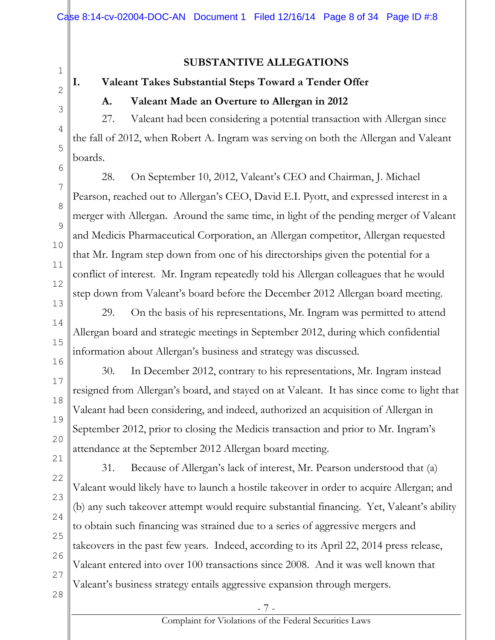1 2

3

4

5

6

7

8

9

10

11

12

13

14

15

16

17

18

19

20

21

22

23

24

25

26

# **A. Valeant Made an Overture to Allergan in 2012**

**I. Valeant Takes Substantial Steps Toward a Tender Offer**

27. Valeant had been considering a potential transaction with Allergan since the fall of 2012, when Robert A. Ingram was serving on both the Allergan and Valeant boards.

**SUBSTANTIVE ALLEGATIONS**

28. On September 10, 2012, Valeant's CEO and Chairman, J. Michael Pearson, reached out to Allergan's CEO, David E.I. Pyott, and expressed interest in a merger with Allergan. Around the same time, in light of the pending merger of Valeant and Medicis Pharmaceutical Corporation, an Allergan competitor, Allergan requested that Mr. Ingram step down from one of his directorships given the potential for a conflict of interest. Mr. Ingram repeatedly told his Allergan colleagues that he would step down from Valeant's board before the December 2012 Allergan board meeting.

29. On the basis of his representations, Mr. Ingram was permitted to attend Allergan board and strategic meetings in September 2012, during which confidential information about Allergan's business and strategy was discussed.

30. In December 2012, contrary to his representations, Mr. Ingram instead resigned from Allergan's board, and stayed on at Valeant. It has since come to light that Valeant had been considering, and indeed, authorized an acquisition of Allergan in September 2012, prior to closing the Medicis transaction and prior to Mr. Ingram's attendance at the September 2012 Allergan board meeting.

31. Because of Allergan's lack of interest, Mr. Pearson understood that (a) Valeant would likely have to launch a hostile takeover in order to acquire Allergan; and (b) any such takeover attempt would require substantial financing. Yet, Valeant's ability to obtain such financing was strained due to a series of aggressive mergers and takeovers in the past few years. Indeed, according to its April 22, 2014 press release, Valeant entered into over 100 transactions since 2008. And it was well known that Valeant's business strategy entails aggressive expansion through mergers.

28

27

- 7 -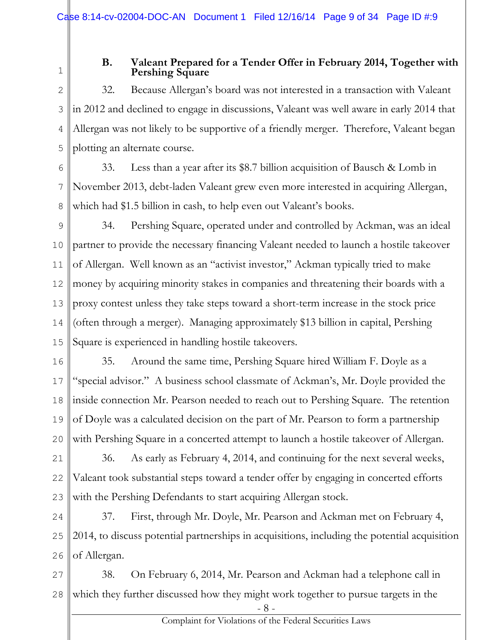1

#### **B. Valeant Prepared for a Tender Offer in February 2014, Together with Pershing Square**

2 3 4 5 32. Because Allergan's board was not interested in a transaction with Valeant in 2012 and declined to engage in discussions, Valeant was well aware in early 2014 that Allergan was not likely to be supportive of a friendly merger. Therefore, Valeant began plotting an alternate course.

6 7 8 33. Less than a year after its \$8.7 billion acquisition of Bausch & Lomb in November 2013, debt-laden Valeant grew even more interested in acquiring Allergan, which had \$1.5 billion in cash, to help even out Valeant's books.

9 10 11 12 13 14 15 34. Pershing Square, operated under and controlled by Ackman, was an ideal partner to provide the necessary financing Valeant needed to launch a hostile takeover of Allergan. Well known as an "activist investor," Ackman typically tried to make money by acquiring minority stakes in companies and threatening their boards with a proxy contest unless they take steps toward a short-term increase in the stock price (often through a merger). Managing approximately \$13 billion in capital, Pershing Square is experienced in handling hostile takeovers.

16 17 18 19 20 35. Around the same time, Pershing Square hired William F. Doyle as a "special advisor." A business school classmate of Ackman's, Mr. Doyle provided the inside connection Mr. Pearson needed to reach out to Pershing Square. The retention of Doyle was a calculated decision on the part of Mr. Pearson to form a partnership with Pershing Square in a concerted attempt to launch a hostile takeover of Allergan.

21 22 23 36. As early as February 4, 2014, and continuing for the next several weeks, Valeant took substantial steps toward a tender offer by engaging in concerted efforts with the Pershing Defendants to start acquiring Allergan stock.

24 25 26 37. First, through Mr. Doyle, Mr. Pearson and Ackman met on February 4, 2014, to discuss potential partnerships in acquisitions, including the potential acquisition of Allergan.

27 28 38. On February 6, 2014, Mr. Pearson and Ackman had a telephone call in which they further discussed how they might work together to pursue targets in the

- 8 -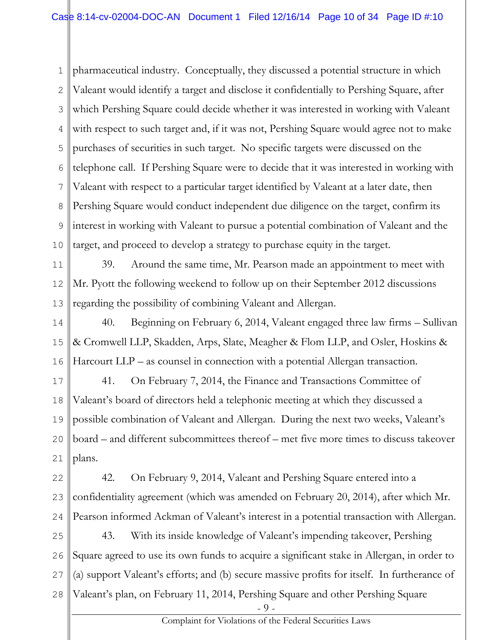1 2 3 4 5 6 7 8 9 10 pharmaceutical industry. Conceptually, they discussed a potential structure in which Valeant would identify a target and disclose it confidentially to Pershing Square, after which Pershing Square could decide whether it was interested in working with Valeant with respect to such target and, if it was not, Pershing Square would agree not to make purchases of securities in such target. No specific targets were discussed on the telephone call. If Pershing Square were to decide that it was interested in working with Valeant with respect to a particular target identified by Valeant at a later date, then Pershing Square would conduct independent due diligence on the target, confirm its interest in working with Valeant to pursue a potential combination of Valeant and the target, and proceed to develop a strategy to purchase equity in the target.

11 12 13 39. Around the same time, Mr. Pearson made an appointment to meet with Mr. Pyott the following weekend to follow up on their September 2012 discussions regarding the possibility of combining Valeant and Allergan.

14 15 16 40. Beginning on February 6, 2014, Valeant engaged three law firms – Sullivan & Cromwell LLP, Skadden, Arps, Slate, Meagher & Flom LLP, and Osler, Hoskins & Harcourt LLP – as counsel in connection with a potential Allergan transaction.

17 18 19 20 21 41. On February 7, 2014, the Finance and Transactions Committee of Valeant's board of directors held a telephonic meeting at which they discussed a possible combination of Valeant and Allergan. During the next two weeks, Valeant's board – and different subcommittees thereof – met five more times to discuss takeover plans.

22 23 24 42. On February 9, 2014, Valeant and Pershing Square entered into a confidentiality agreement (which was amended on February 20, 2014), after which Mr. Pearson informed Ackman of Valeant's interest in a potential transaction with Allergan.

25 26 27 28 43. With its inside knowledge of Valeant's impending takeover, Pershing Square agreed to use its own funds to acquire a significant stake in Allergan, in order to (a) support Valeant's efforts; and (b) secure massive profits for itself. In furtherance of Valeant's plan, on February 11, 2014, Pershing Square and other Pershing Square

- 9 -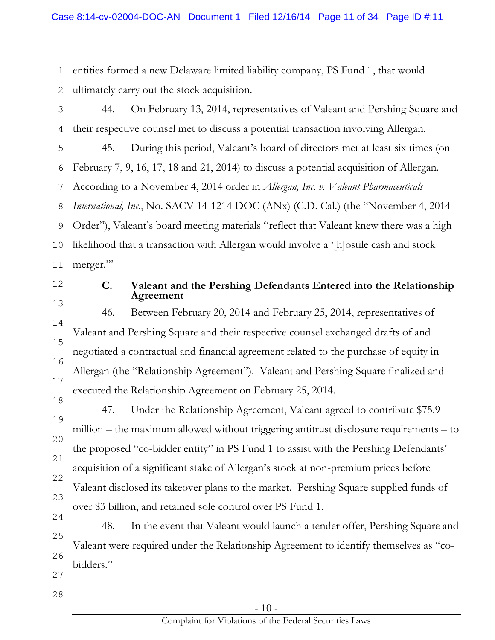1 2 entities formed a new Delaware limited liability company, PS Fund 1, that would ultimately carry out the stock acquisition.

3 4 44. On February 13, 2014, representatives of Valeant and Pershing Square and their respective counsel met to discuss a potential transaction involving Allergan.

5 6 7 8 9 10 11 45. During this period, Valeant's board of directors met at least six times (on February 7, 9, 16, 17, 18 and 21, 2014) to discuss a potential acquisition of Allergan. According to a November 4, 2014 order in *Allergan, Inc. v. Valeant Pharmaceuticals International, Inc.*, No. SACV 14-1214 DOC (ANx) (C.D. Cal.) (the "November 4, 2014 Order"), Valeant's board meeting materials "reflect that Valeant knew there was a high likelihood that a transaction with Allergan would involve a '[h]ostile cash and stock merger."

12 13

14

15

16

17

#### **C. Valeant and the Pershing Defendants Entered into the Relationship Agreement**

46. Between February 20, 2014 and February 25, 2014, representatives of Valeant and Pershing Square and their respective counsel exchanged drafts of and negotiated a contractual and financial agreement related to the purchase of equity in Allergan (the "Relationship Agreement"). Valeant and Pershing Square finalized and executed the Relationship Agreement on February 25, 2014.

47. Under the Relationship Agreement, Valeant agreed to contribute \$75.9 million – the maximum allowed without triggering antitrust disclosure requirements – to the proposed "co-bidder entity" in PS Fund 1 to assist with the Pershing Defendants' acquisition of a significant stake of Allergan's stock at non-premium prices before Valeant disclosed its takeover plans to the market. Pershing Square supplied funds of over \$3 billion, and retained sole control over PS Fund 1.

48. In the event that Valeant would launch a tender offer, Pershing Square and Valeant were required under the Relationship Agreement to identify themselves as "cobidders."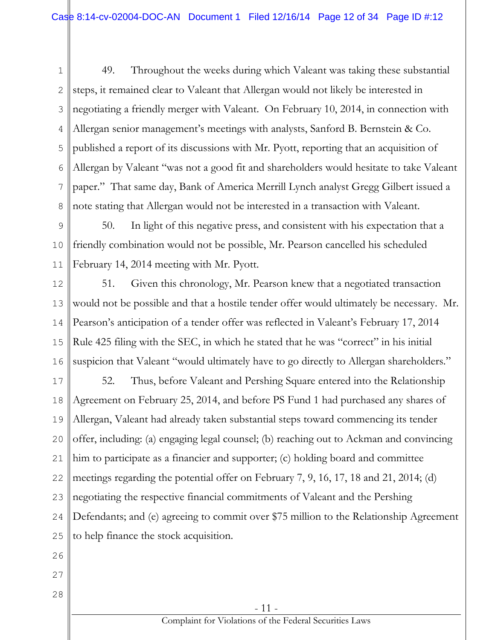1 2 3 4 5 6 7 8 49. Throughout the weeks during which Valeant was taking these substantial steps, it remained clear to Valeant that Allergan would not likely be interested in negotiating a friendly merger with Valeant. On February 10, 2014, in connection with Allergan senior management's meetings with analysts, Sanford B. Bernstein & Co. published a report of its discussions with Mr. Pyott, reporting that an acquisition of Allergan by Valeant "was not a good fit and shareholders would hesitate to take Valeant paper." That same day, Bank of America Merrill Lynch analyst Gregg Gilbert issued a note stating that Allergan would not be interested in a transaction with Valeant.

9 10 11 50. In light of this negative press, and consistent with his expectation that a friendly combination would not be possible, Mr. Pearson cancelled his scheduled February 14, 2014 meeting with Mr. Pyott.

12 13 14 15 16 51. Given this chronology, Mr. Pearson knew that a negotiated transaction would not be possible and that a hostile tender offer would ultimately be necessary. Mr. Pearson's anticipation of a tender offer was reflected in Valeant's February 17, 2014 Rule 425 filing with the SEC, in which he stated that he was "correct" in his initial suspicion that Valeant "would ultimately have to go directly to Allergan shareholders."

17 18 19 20 21 22 23 24 25 52. Thus, before Valeant and Pershing Square entered into the Relationship Agreement on February 25, 2014, and before PS Fund 1 had purchased any shares of Allergan, Valeant had already taken substantial steps toward commencing its tender offer, including: (a) engaging legal counsel; (b) reaching out to Ackman and convincing him to participate as a financier and supporter; (c) holding board and committee meetings regarding the potential offer on February 7, 9, 16, 17, 18 and 21, 2014; (d) negotiating the respective financial commitments of Valeant and the Pershing Defendants; and (e) agreeing to commit over \$75 million to the Relationship Agreement to help finance the stock acquisition.

26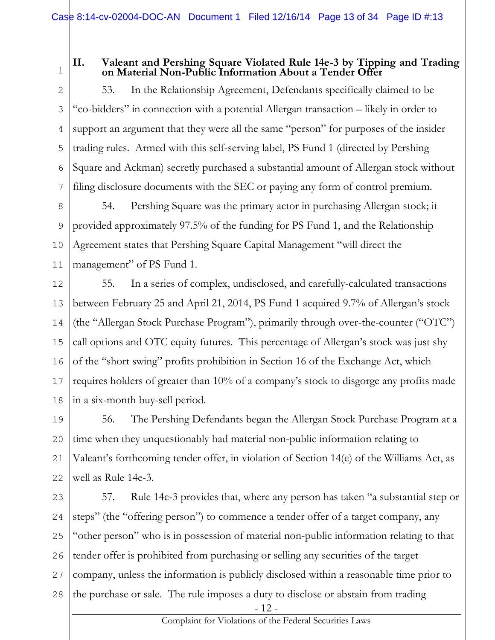1

#### **II. Valeant and Pershing Square Violated Rule 14e-3 by Tipping and Trading on Material Non-Public Information About a Tender Offer**

2 3 4 5 6 7 53. In the Relationship Agreement, Defendants specifically claimed to be "co-bidders" in connection with a potential Allergan transaction – likely in order to support an argument that they were all the same "person" for purposes of the insider trading rules. Armed with this self-serving label, PS Fund 1 (directed by Pershing Square and Ackman) secretly purchased a substantial amount of Allergan stock without filing disclosure documents with the SEC or paying any form of control premium.

8 9 10 11 54. Pershing Square was the primary actor in purchasing Allergan stock; it provided approximately 97.5% of the funding for PS Fund 1, and the Relationship Agreement states that Pershing Square Capital Management "will direct the management" of PS Fund 1.

12 13 14 15 16 17 18 55. In a series of complex, undisclosed, and carefully-calculated transactions between February 25 and April 21, 2014, PS Fund 1 acquired 9.7% of Allergan's stock (the "Allergan Stock Purchase Program"), primarily through over-the-counter ("OTC") call options and OTC equity futures. This percentage of Allergan's stock was just shy of the "short swing" profits prohibition in Section 16 of the Exchange Act, which requires holders of greater than 10% of a company's stock to disgorge any profits made in a six-month buy-sell period.

19 20 21 22 56. The Pershing Defendants began the Allergan Stock Purchase Program at a time when they unquestionably had material non-public information relating to Valeant's forthcoming tender offer, in violation of Section 14(e) of the Williams Act, as well as Rule 14e-3.

23 24 25 26 27 28 57. Rule 14e-3 provides that, where any person has taken "a substantial step or steps" (the "offering person") to commence a tender offer of a target company, any "other person" who is in possession of material non-public information relating to that tender offer is prohibited from purchasing or selling any securities of the target company, unless the information is publicly disclosed within a reasonable time prior to the purchase or sale. The rule imposes a duty to disclose or abstain from trading

- 12 -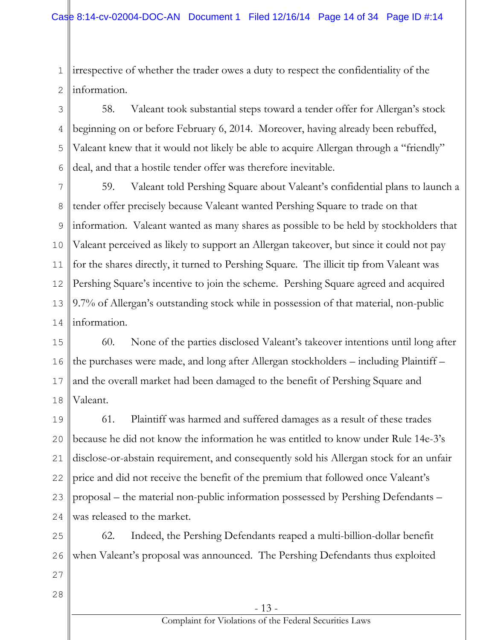1 2 irrespective of whether the trader owes a duty to respect the confidentiality of the information.

3 4 5 6 58. Valeant took substantial steps toward a tender offer for Allergan's stock beginning on or before February 6, 2014. Moreover, having already been rebuffed, Valeant knew that it would not likely be able to acquire Allergan through a "friendly" deal, and that a hostile tender offer was therefore inevitable.

7 8 9 10 11 12 13 14 59. Valeant told Pershing Square about Valeant's confidential plans to launch a tender offer precisely because Valeant wanted Pershing Square to trade on that information. Valeant wanted as many shares as possible to be held by stockholders that Valeant perceived as likely to support an Allergan takeover, but since it could not pay for the shares directly, it turned to Pershing Square. The illicit tip from Valeant was Pershing Square's incentive to join the scheme. Pershing Square agreed and acquired 9.7% of Allergan's outstanding stock while in possession of that material, non-public information.

15 16 17 18 60. None of the parties disclosed Valeant's takeover intentions until long after the purchases were made, and long after Allergan stockholders – including Plaintiff – and the overall market had been damaged to the benefit of Pershing Square and Valeant.

19 20 21 22 23 24 61. Plaintiff was harmed and suffered damages as a result of these trades because he did not know the information he was entitled to know under Rule 14e-3's disclose-or-abstain requirement, and consequently sold his Allergan stock for an unfair price and did not receive the benefit of the premium that followed once Valeant's proposal – the material non-public information possessed by Pershing Defendants – was released to the market.

25 26 27 62. Indeed, the Pershing Defendants reaped a multi-billion-dollar benefit when Valeant's proposal was announced. The Pershing Defendants thus exploited

28

- 13 -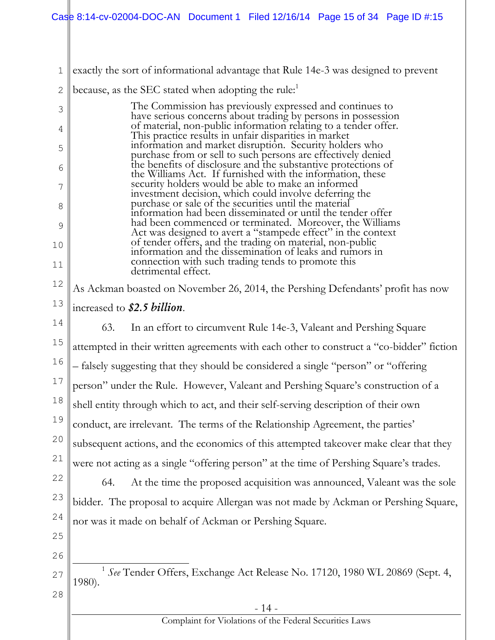1 exactly the sort of informational advantage that Rule 14e-3 was designed to prevent

2 because, as the SEC stated when adopting the rule:<sup>1</sup>

3 4 5 6 7 8 9 10 11 The Commission has previously expressed and continues to have serious concerns about trading by persons in possession of material, non-public information relating to a tender offer. This practice results in unfair disparities in market information and market disruption. Security holders who purchase from or sell to such persons are effectively denied the benefits of disclosure and the substantive protections of the Williams Act. If furnished with the information, these security holders would be able to make an informed investment decision, which could involve deferring the purchase or sale of the securities until the material information had been disseminated or until the tender offer had been commenced or terminated. Moreover, the Williams Act was designed to avert a "stampede effect" in the context of tender offers, and the trading on material, non-public information and the dissemination of leaks and rumors in connection with such trading tends to promote this detrimental effect.

12 As Ackman boasted on November 26, 2014, the Pershing Defendants' profit has now

14 15 16 17 18 19 20 21 63. In an effort to circumvent Rule 14e-3, Valeant and Pershing Square attempted in their written agreements with each other to construct a "co-bidder" fiction – falsely suggesting that they should be considered a single "person" or "offering person" under the Rule. However, Valeant and Pershing Square's construction of a shell entity through which to act, and their self-serving description of their own conduct, are irrelevant. The terms of the Relationship Agreement, the parties' subsequent actions, and the economics of this attempted takeover make clear that they were not acting as a single "offering person" at the time of Pershing Square's trades.

22 23 24 64. At the time the proposed acquisition was announced, Valeant was the sole bidder. The proposal to acquire Allergan was not made by Ackman or Pershing Square, nor was it made on behalf of Ackman or Pershing Square.

25 26

27 28  $\overline{a}$ <sup>1</sup> See Tender Offers, Exchange Act Release No. 17120, 1980 WL 20869 (Sept. 4, 1980).

<sup>13</sup> increased to *\$2.5 billion*.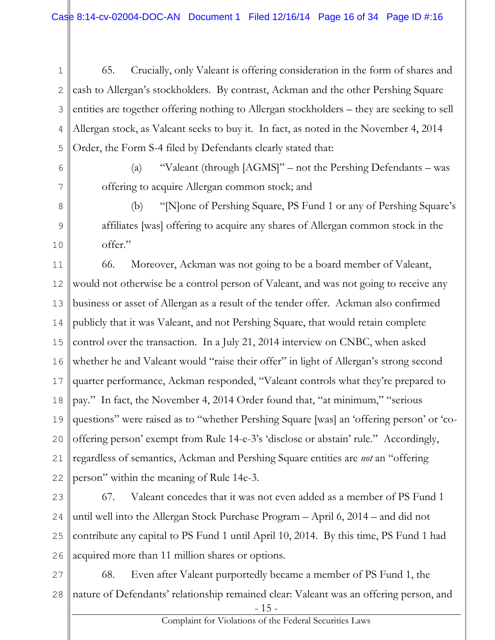- 1 2 3 4 5 65. Crucially, only Valeant is offering consideration in the form of shares and cash to Allergan's stockholders. By contrast, Ackman and the other Pershing Square entities are together offering nothing to Allergan stockholders – they are seeking to sell Allergan stock, as Valeant seeks to buy it. In fact, as noted in the November 4, 2014 Order, the Form S-4 filed by Defendants clearly stated that:
- 6

(a) "Valeant (through [AGMS]" – not the Pershing Defendants – was offering to acquire Allergan common stock; and

7 8

9

10

(b) "[N]one of Pershing Square, PS Fund 1 or any of Pershing Square's affiliates [was] offering to acquire any shares of Allergan common stock in the offer."

11 12 13 14 15 16 17 18 19 20 21 22 66. Moreover, Ackman was not going to be a board member of Valeant, would not otherwise be a control person of Valeant, and was not going to receive any business or asset of Allergan as a result of the tender offer. Ackman also confirmed publicly that it was Valeant, and not Pershing Square, that would retain complete control over the transaction. In a July 21, 2014 interview on CNBC, when asked whether he and Valeant would "raise their offer" in light of Allergan's strong second quarter performance, Ackman responded, "Valeant controls what they're prepared to pay." In fact, the November 4, 2014 Order found that, "at minimum," "serious questions" were raised as to "whether Pershing Square [was] an 'offering person' or 'cooffering person' exempt from Rule 14-e-3's 'disclose or abstain' rule." Accordingly, regardless of semantics, Ackman and Pershing Square entities are *not* an "offering person" within the meaning of Rule 14e-3.

23 24 25 26 67. Valeant concedes that it was not even added as a member of PS Fund 1 until well into the Allergan Stock Purchase Program – April 6, 2014 – and did not contribute any capital to PS Fund 1 until April 10, 2014. By this time, PS Fund 1 had acquired more than 11 million shares or options.

27 28 68. Even after Valeant purportedly became a member of PS Fund 1, the nature of Defendants' relationship remained clear: Valeant was an offering person, and

- 15 -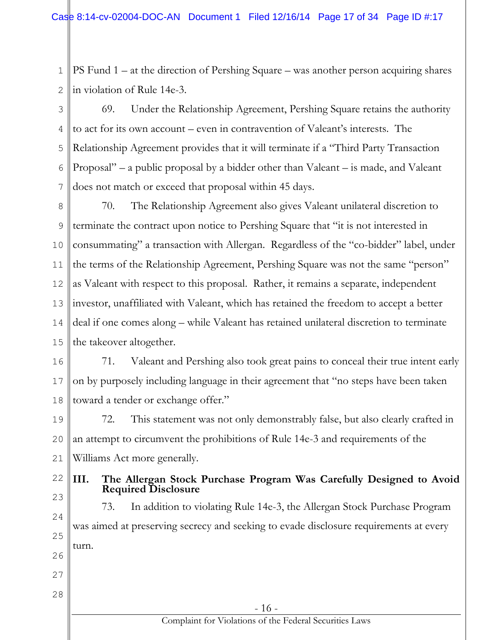1 2 PS Fund 1 – at the direction of Pershing Square – was another person acquiring shares in violation of Rule 14e-3.

3 4 5 6 7 69. Under the Relationship Agreement, Pershing Square retains the authority to act for its own account – even in contravention of Valeant's interests. The Relationship Agreement provides that it will terminate if a "Third Party Transaction Proposal" – a public proposal by a bidder other than Valeant – is made, and Valeant does not match or exceed that proposal within 45 days.

8 9 10 11 12 13 14 15 70. The Relationship Agreement also gives Valeant unilateral discretion to terminate the contract upon notice to Pershing Square that "it is not interested in consummating" a transaction with Allergan. Regardless of the "co-bidder" label, under the terms of the Relationship Agreement, Pershing Square was not the same "person" as Valeant with respect to this proposal. Rather, it remains a separate, independent investor, unaffiliated with Valeant, which has retained the freedom to accept a better deal if one comes along – while Valeant has retained unilateral discretion to terminate the takeover altogether.

16 17 18 71. Valeant and Pershing also took great pains to conceal their true intent early on by purposely including language in their agreement that "no steps have been taken toward a tender or exchange offer."

19 20 21 72. This statement was not only demonstrably false, but also clearly crafted in an attempt to circumvent the prohibitions of Rule 14e-3 and requirements of the Williams Act more generally.

22 23

#### **III. The Allergan Stock Purchase Program Was Carefully Designed to Avoid Required Disclosure**

24 25 26 73. In addition to violating Rule 14e-3, the Allergan Stock Purchase Program was aimed at preserving secrecy and seeking to evade disclosure requirements at every turn.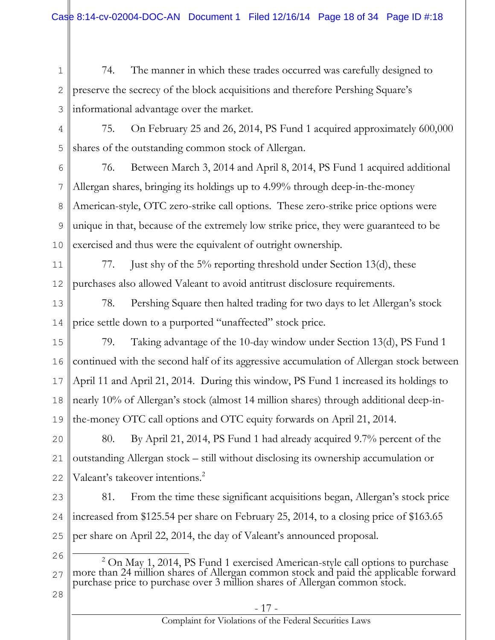1 2 3 74. The manner in which these trades occurred was carefully designed to preserve the secrecy of the block acquisitions and therefore Pershing Square's informational advantage over the market.

4 5 75. On February 25 and 26, 2014, PS Fund 1 acquired approximately 600,000 shares of the outstanding common stock of Allergan.

6 7 8 9 10 76. Between March 3, 2014 and April 8, 2014, PS Fund 1 acquired additional Allergan shares, bringing its holdings up to 4.99% through deep-in-the-money American-style, OTC zero-strike call options. These zero-strike price options were unique in that, because of the extremely low strike price, they were guaranteed to be exercised and thus were the equivalent of outright ownership.

11 12 77. Just shy of the 5% reporting threshold under Section 13(d), these purchases also allowed Valeant to avoid antitrust disclosure requirements.

13 14 78. Pershing Square then halted trading for two days to let Allergan's stock price settle down to a purported "unaffected" stock price.

15 16 17 18 19 79. Taking advantage of the 10-day window under Section 13(d), PS Fund 1 continued with the second half of its aggressive accumulation of Allergan stock between April 11 and April 21, 2014. During this window, PS Fund 1 increased its holdings to nearly 10% of Allergan's stock (almost 14 million shares) through additional deep-inthe-money OTC call options and OTC equity forwards on April 21, 2014.

20 21 22 80. By April 21, 2014, PS Fund 1 had already acquired 9.7% percent of the outstanding Allergan stock – still without disclosing its ownership accumulation or Valeant's takeover intentions.<sup>2</sup>

23 24 25 81. From the time these significant acquisitions began, Allergan's stock price increased from \$125.54 per share on February 25, 2014, to a closing price of \$163.65 per share on April 22, 2014, the day of Valeant's announced proposal.

26

<sup>27</sup>  $\overline{a}$  $2^{2}$  On May 1, 2014, PS Fund 1 exercised American-style call options to purchase more than 24 million shares of Allergan common stock and paid the applicable forward purchase price to purchase over 3 million shares of Allergan common stock.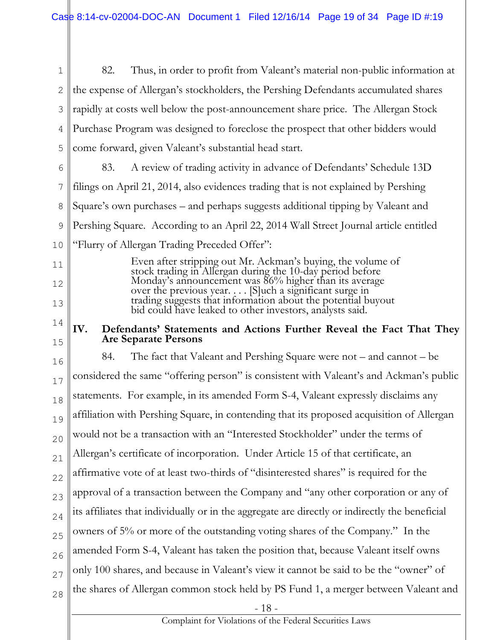1 2 3 4 5 82. Thus, in order to profit from Valeant's material non-public information at the expense of Allergan's stockholders, the Pershing Defendants accumulated shares rapidly at costs well below the post-announcement share price. The Allergan Stock Purchase Program was designed to foreclose the prospect that other bidders would come forward, given Valeant's substantial head start.

6 7 8 9 10 83. A review of trading activity in advance of Defendants' Schedule 13D filings on April 21, 2014, also evidences trading that is not explained by Pershing Square's own purchases – and perhaps suggests additional tipping by Valeant and Pershing Square. According to an April 22, 2014 Wall Street Journal article entitled "Flurry of Allergan Trading Preceded Offer":

11

12

13

14

15

Even after stripping out Mr. Ackman's buying, the volume of stock trading in Allergan during the 10-day period before Monday's announcement was 86% higher than its average over the previous year. . . . [S]uch a significant surge in trading suggests that information about the potential buyout bid could have leaked to other investors, analysts said.

#### **IV. Defendants' Statements and Actions Further Reveal the Fact That They Are Separate Persons**

16 17 18 19 20 21 22 23 24 25 26 27 28 84. The fact that Valeant and Pershing Square were not – and cannot – be considered the same "offering person" is consistent with Valeant's and Ackman's public statements. For example, in its amended Form S-4, Valeant expressly disclaims any affiliation with Pershing Square, in contending that its proposed acquisition of Allergan would not be a transaction with an "Interested Stockholder" under the terms of Allergan's certificate of incorporation. Under Article 15 of that certificate, an affirmative vote of at least two-thirds of "disinterested shares" is required for the approval of a transaction between the Company and "any other corporation or any of its affiliates that individually or in the aggregate are directly or indirectly the beneficial owners of 5% or more of the outstanding voting shares of the Company." In the amended Form S-4, Valeant has taken the position that, because Valeant itself owns only 100 shares, and because in Valeant's view it cannot be said to be the "owner" of the shares of Allergan common stock held by PS Fund 1, a merger between Valeant and

- 18 -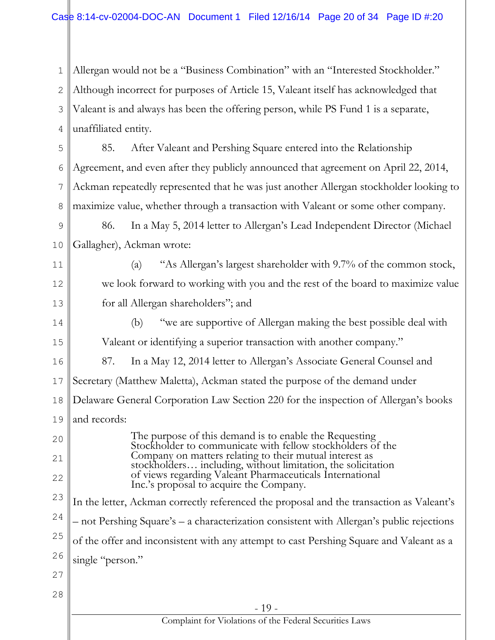1 2 3 4 Allergan would not be a "Business Combination" with an "Interested Stockholder." Although incorrect for purposes of Article 15, Valeant itself has acknowledged that Valeant is and always has been the offering person, while PS Fund 1 is a separate, unaffiliated entity.

5 6 7 8 85. After Valeant and Pershing Square entered into the Relationship Agreement, and even after they publicly announced that agreement on April 22, 2014, Ackman repeatedly represented that he was just another Allergan stockholder looking to maximize value, whether through a transaction with Valeant or some other company.

9 10 86. In a May 5, 2014 letter to Allergan's Lead Independent Director (Michael Gallagher), Ackman wrote:

11 12 13 (a) "As Allergan's largest shareholder with 9.7% of the common stock, we look forward to working with you and the rest of the board to maximize value for all Allergan shareholders"; and

14 15 16 17 18 (b) "we are supportive of Allergan making the best possible deal with Valeant or identifying a superior transaction with another company." 87. In a May 12, 2014 letter to Allergan's Associate General Counsel and Secretary (Matthew Maletta), Ackman stated the purpose of the demand under Delaware General Corporation Law Section 220 for the inspection of Allergan's books

19 and records:

20 22 The purpose of this demand is to enable the Requesting Stockholder to communicate with fellow stockholders of the Company on matters relating to their mutual interest as stockholders… including, without limitation, the solicitation of views regarding Valeant Pharmaceuticals International Inc.'s proposal to acquire the Company.

23 24 25 26 In the letter, Ackman correctly referenced the proposal and the transaction as Valeant's – not Pershing Square's – a characterization consistent with Allergan's public rejections of the offer and inconsistent with any attempt to cast Pershing Square and Valeant as a single "person."

27

21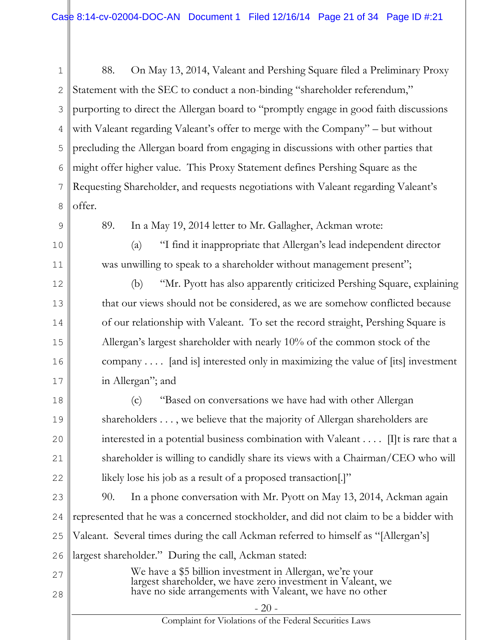1 2 3 4 5 6 7 8 9 88. On May 13, 2014, Valeant and Pershing Square filed a Preliminary Proxy Statement with the SEC to conduct a non-binding "shareholder referendum," purporting to direct the Allergan board to "promptly engage in good faith discussions with Valeant regarding Valeant's offer to merge with the Company" – but without precluding the Allergan board from engaging in discussions with other parties that might offer higher value. This Proxy Statement defines Pershing Square as the Requesting Shareholder, and requests negotiations with Valeant regarding Valeant's offer. 89. In a May 19, 2014 letter to Mr. Gallagher, Ackman wrote:

(a) "I find it inappropriate that Allergan's lead independent director was unwilling to speak to a shareholder without management present";

10

11

12

13

14

15

16

17

(b) "Mr. Pyott has also apparently criticized Pershing Square, explaining that our views should not be considered, as we are somehow conflicted because of our relationship with Valeant. To set the record straight, Pershing Square is Allergan's largest shareholder with nearly 10% of the common stock of the company . . . . [and is] interested only in maximizing the value of [its] investment in Allergan"; and

18 19 20 21 22 (c) "Based on conversations we have had with other Allergan shareholders . . . , we believe that the majority of Allergan shareholders are interested in a potential business combination with Valeant . . . . [I]t is rare that a shareholder is willing to candidly share its views with a Chairman/CEO who will likely lose his job as a result of a proposed transaction.]"

23 24 25 26 90. In a phone conversation with Mr. Pyott on May 13, 2014, Ackman again represented that he was a concerned stockholder, and did not claim to be a bidder with Valeant. Several times during the call Ackman referred to himself as "[Allergan's] largest shareholder." During the call, Ackman stated:

27 28 We have a \$5 billion investment in Allergan, we're your largest shareholder, we have zero investment in Valeant, we have no side arrangements with Valeant, we have no other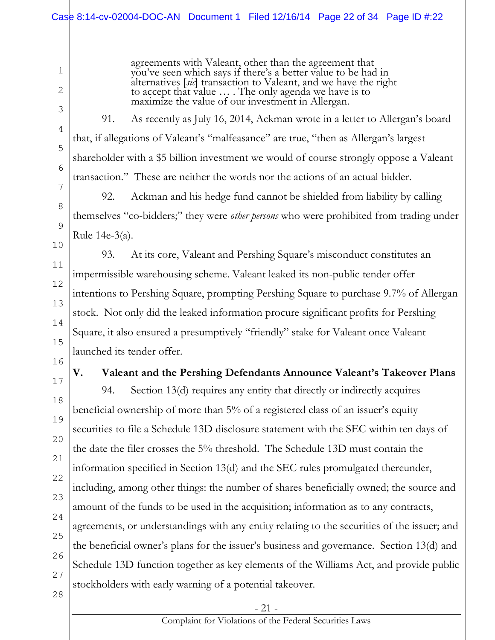agreements with Valeant, other than the agreement that you've seen which says if there's a better value to be had in alternatives [*sic*] transaction to Valeant, and we have the right to accept that value … . The only agenda we have is to maximize the value of our investment in Allergan.

2 3

4

5

6

7

8

9

10

11

12

13

14

15

16

1

91. As recently as July 16, 2014, Ackman wrote in a letter to Allergan's board that, if allegations of Valeant's "malfeasance" are true, "then as Allergan's largest shareholder with a \$5 billion investment we would of course strongly oppose a Valeant transaction." These are neither the words nor the actions of an actual bidder.

92. Ackman and his hedge fund cannot be shielded from liability by calling themselves "co-bidders;" they were *other persons* who were prohibited from trading under Rule 14e-3(a).

93. At its core, Valeant and Pershing Square's misconduct constitutes an impermissible warehousing scheme. Valeant leaked its non-public tender offer intentions to Pershing Square, prompting Pershing Square to purchase 9.7% of Allergan stock. Not only did the leaked information procure significant profits for Pershing Square, it also ensured a presumptively "friendly" stake for Valeant once Valeant launched its tender offer.

17

# **V. Valeant and the Pershing Defendants Announce Valeant's Takeover Plans**

18 19 20 21 22 23 24 25 26 27 94. Section 13(d) requires any entity that directly or indirectly acquires beneficial ownership of more than 5% of a registered class of an issuer's equity securities to file a Schedule 13D disclosure statement with the SEC within ten days of the date the filer crosses the 5% threshold. The Schedule 13D must contain the information specified in Section 13(d) and the SEC rules promulgated thereunder, including, among other things: the number of shares beneficially owned; the source and amount of the funds to be used in the acquisition; information as to any contracts, agreements, or understandings with any entity relating to the securities of the issuer; and the beneficial owner's plans for the issuer's business and governance. Section 13(d) and Schedule 13D function together as key elements of the Williams Act, and provide public stockholders with early warning of a potential takeover.

28

- 21 -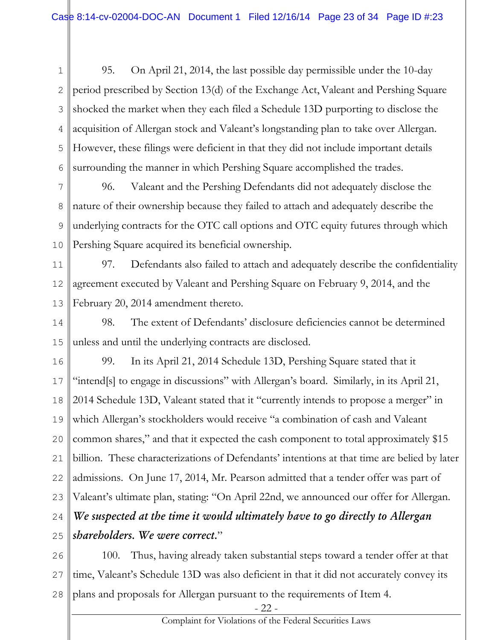1 2 3 4 5 6 95. On April 21, 2014, the last possible day permissible under the 10-day period prescribed by Section 13(d) of the Exchange Act,Valeant and Pershing Square shocked the market when they each filed a Schedule 13D purporting to disclose the acquisition of Allergan stock and Valeant's longstanding plan to take over Allergan. However, these filings were deficient in that they did not include important details surrounding the manner in which Pershing Square accomplished the trades.

7 8 9 10 96. Valeant and the Pershing Defendants did not adequately disclose the nature of their ownership because they failed to attach and adequately describe the underlying contracts for the OTC call options and OTC equity futures through which Pershing Square acquired its beneficial ownership.

11 12 13 97. Defendants also failed to attach and adequately describe the confidentiality agreement executed by Valeant and Pershing Square on February 9, 2014, and the February 20, 2014 amendment thereto.

14 15 98. The extent of Defendants' disclosure deficiencies cannot be determined unless and until the underlying contracts are disclosed.

16 17 18 19 20 21 22 23 24 25 99. In its April 21, 2014 Schedule 13D, Pershing Square stated that it "intend[s] to engage in discussions" with Allergan's board. Similarly, in its April 21, 2014 Schedule 13D, Valeant stated that it "currently intends to propose a merger" in which Allergan's stockholders would receive "a combination of cash and Valeant common shares," and that it expected the cash component to total approximately \$15 billion. These characterizations of Defendants' intentions at that time are belied by later admissions. On June 17, 2014, Mr. Pearson admitted that a tender offer was part of Valeant's ultimate plan, stating: "On April 22nd, we announced our offer for Allergan. *We suspected at the time it would ultimately have to go directly to Allergan shareholders. We were correct.*"

26 27 28 100. Thus, having already taken substantial steps toward a tender offer at that time, Valeant's Schedule 13D was also deficient in that it did not accurately convey its plans and proposals for Allergan pursuant to the requirements of Item 4.

- 22 -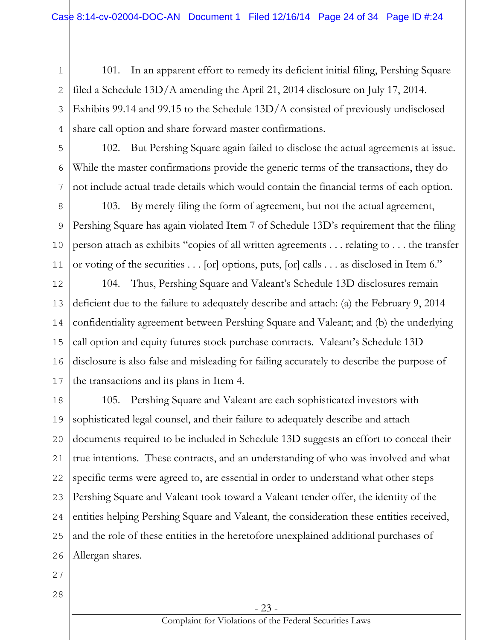1 2 3 4 101. In an apparent effort to remedy its deficient initial filing, Pershing Square filed a Schedule 13D/A amending the April 21, 2014 disclosure on July 17, 2014. Exhibits 99.14 and 99.15 to the Schedule 13D/A consisted of previously undisclosed share call option and share forward master confirmations.

5

6

7

102. But Pershing Square again failed to disclose the actual agreements at issue. While the master confirmations provide the generic terms of the transactions, they do not include actual trade details which would contain the financial terms of each option.

8 9 10 11 103. By merely filing the form of agreement, but not the actual agreement, Pershing Square has again violated Item 7 of Schedule 13D's requirement that the filing person attach as exhibits "copies of all written agreements . . . relating to . . . the transfer or voting of the securities . . . [or] options, puts, [or] calls . . . as disclosed in Item 6."

12 13 14 15 16 17 104. Thus, Pershing Square and Valeant's Schedule 13D disclosures remain deficient due to the failure to adequately describe and attach: (a) the February 9, 2014 confidentiality agreement between Pershing Square and Valeant; and (b) the underlying call option and equity futures stock purchase contracts. Valeant's Schedule 13D disclosure is also false and misleading for failing accurately to describe the purpose of the transactions and its plans in Item 4.

18 19 20 21 22 23 24 25 26 105. Pershing Square and Valeant are each sophisticated investors with sophisticated legal counsel, and their failure to adequately describe and attach documents required to be included in Schedule 13D suggests an effort to conceal their true intentions. These contracts, and an understanding of who was involved and what specific terms were agreed to, are essential in order to understand what other steps Pershing Square and Valeant took toward a Valeant tender offer, the identity of the entities helping Pershing Square and Valeant, the consideration these entities received, and the role of these entities in the heretofore unexplained additional purchases of Allergan shares.

- 27
- 28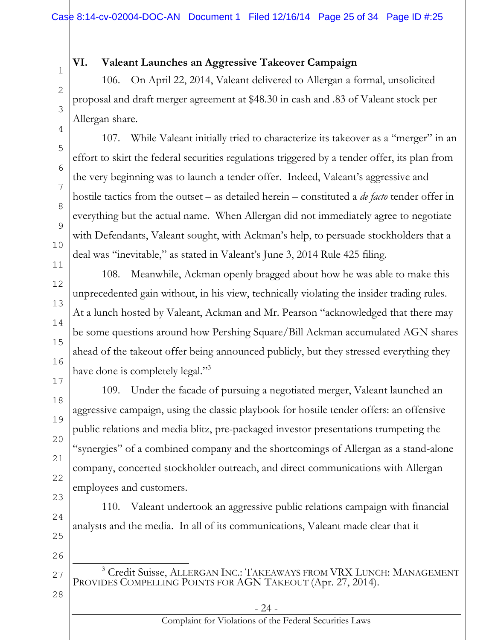#### **VI. Valeant Launches an Aggressive Takeover Campaign**

106. On April 22, 2014, Valeant delivered to Allergan a formal, unsolicited proposal and draft merger agreement at \$48.30 in cash and .83 of Valeant stock per Allergan share.

107. While Valeant initially tried to characterize its takeover as a "merger" in an effort to skirt the federal securities regulations triggered by a tender offer, its plan from the very beginning was to launch a tender offer. Indeed, Valeant's aggressive and hostile tactics from the outset – as detailed herein – constituted a *de facto* tender offer in everything but the actual name. When Allergan did not immediately agree to negotiate with Defendants, Valeant sought, with Ackman's help, to persuade stockholders that a deal was "inevitable," as stated in Valeant's June 3, 2014 Rule 425 filing.

108. Meanwhile, Ackman openly bragged about how he was able to make this unprecedented gain without, in his view, technically violating the insider trading rules. At a lunch hosted by Valeant, Ackman and Mr. Pearson "acknowledged that there may be some questions around how Pershing Square/Bill Ackman accumulated AGN shares ahead of the takeout offer being announced publicly, but they stressed everything they have done is completely legal."<sup>3</sup>

109. Under the facade of pursuing a negotiated merger, Valeant launched an aggressive campaign, using the classic playbook for hostile tender offers: an offensive public relations and media blitz, pre-packaged investor presentations trumpeting the "synergies" of a combined company and the shortcomings of Allergan as a stand-alone company, concerted stockholder outreach, and direct communications with Allergan employees and customers.

110. Valeant undertook an aggressive public relations campaign with financial analysts and the media. In all of its communications, Valeant made clear that it

- 27  $\overline{a}$ <sup>3</sup> Credit Suisse, ALLERGAN INC.: TAKEAWAYS FROM VRX LUNCH: MANAGEMENT PROVIDES COMPELLING POINTS FOR AGN TAKEOUT (Apr. 27, 2014).
- 28

1

2

3

4

5

6

7

8

9

10

11

12

13

14

15

16

17

18

19

20

21

22

23

24

25

26

- 24 -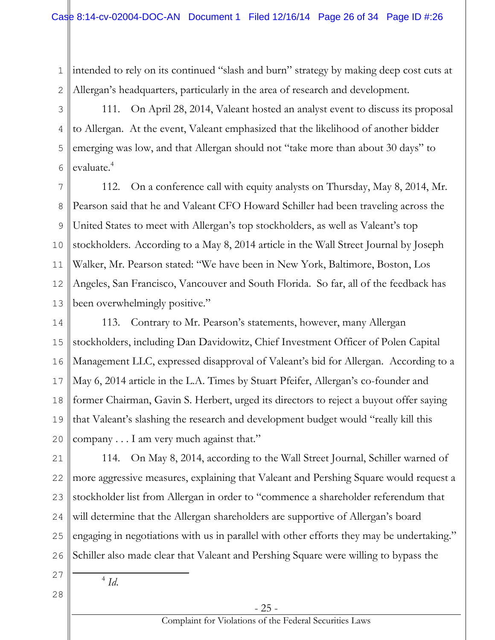1 2 intended to rely on its continued "slash and burn" strategy by making deep cost cuts at Allergan's headquarters, particularly in the area of research and development.

3 4 5 6 111. On April 28, 2014, Valeant hosted an analyst event to discuss its proposal to Allergan. At the event, Valeant emphasized that the likelihood of another bidder emerging was low, and that Allergan should not "take more than about 30 days" to evaluate.<sup>4</sup>

7 8 9 10 11 12 13 112. On a conference call with equity analysts on Thursday, May 8, 2014, Mr. Pearson said that he and Valeant CFO Howard Schiller had been traveling across the United States to meet with Allergan's top stockholders, as well as Valeant's top stockholders. According to a May 8, 2014 article in the Wall Street Journal by Joseph Walker, Mr. Pearson stated: "We have been in New York, Baltimore, Boston, Los Angeles, San Francisco, Vancouver and South Florida. So far, all of the feedback has been overwhelmingly positive."

14 15 16 17 18 19 20 113. Contrary to Mr. Pearson's statements, however, many Allergan stockholders, including Dan Davidowitz, Chief Investment Officer of Polen Capital Management LLC, expressed disapproval of Valeant's bid for Allergan. According to a May 6, 2014 article in the L.A. Times by Stuart Pfeifer, Allergan's co-founder and former Chairman, Gavin S. Herbert, urged its directors to reject a buyout offer saying that Valeant's slashing the research and development budget would "really kill this company . . . I am very much against that."

21 22 23 24 25 26 114. On May 8, 2014, according to the Wall Street Journal, Schiller warned of more aggressive measures, explaining that Valeant and Pershing Square would request a stockholder list from Allergan in order to "commence a shareholder referendum that will determine that the Allergan shareholders are supportive of Allergan's board engaging in negotiations with us in parallel with other efforts they may be undertaking." Schiller also made clear that Valeant and Pershing Square were willing to bypass the

27 28

 $\overline{a}$ 

4 *Id*.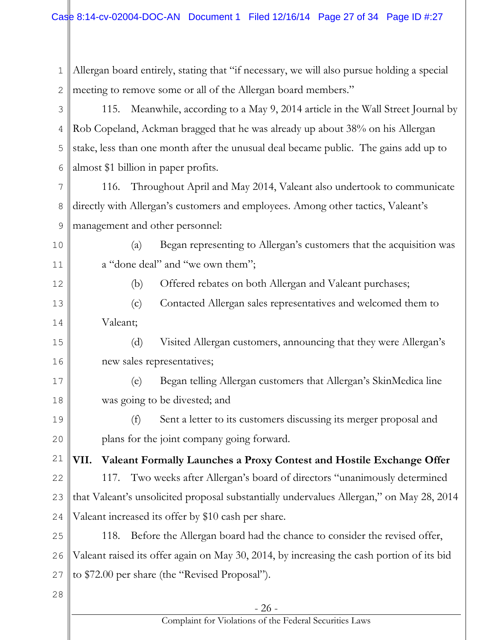| 1            | Allergan board entirely, stating that "if necessary, we will also pursue holding a special |  |  |  |  |  |
|--------------|--------------------------------------------------------------------------------------------|--|--|--|--|--|
| $\mathbf{2}$ | meeting to remove some or all of the Allergan board members."                              |  |  |  |  |  |
| 3            | Meanwhile, according to a May 9, 2014 article in the Wall Street Journal by<br>115.        |  |  |  |  |  |
| 4            | Rob Copeland, Ackman bragged that he was already up about 38% on his Allergan              |  |  |  |  |  |
| 5            | stake, less than one month after the unusual deal became public. The gains add up to       |  |  |  |  |  |
| 6            | almost \$1 billion in paper profits.                                                       |  |  |  |  |  |
| 7            | Throughout April and May 2014, Valeant also undertook to communicate<br>116.               |  |  |  |  |  |
| 8            | directly with Allergan's customers and employees. Among other tactics, Valeant's           |  |  |  |  |  |
| 9            | management and other personnel:                                                            |  |  |  |  |  |
| 10           | Began representing to Allergan's customers that the acquisition was<br>(a)                 |  |  |  |  |  |
| 11           | a "done deal" and "we own them";                                                           |  |  |  |  |  |
| 12           | Offered rebates on both Allergan and Valeant purchases;<br>(b)                             |  |  |  |  |  |
| 13           | Contacted Allergan sales representatives and welcomed them to<br>(c)                       |  |  |  |  |  |
| 14           | Valeant;                                                                                   |  |  |  |  |  |
| 15           | (d)<br>Visited Allergan customers, announcing that they were Allergan's                    |  |  |  |  |  |
| 16           | new sales representatives;                                                                 |  |  |  |  |  |
| 17           | Began telling Allergan customers that Allergan's SkinMedica line<br>(e)                    |  |  |  |  |  |
| 18           | was going to be divested; and                                                              |  |  |  |  |  |
| 19           | (f) Sent a letter to its customers discussing its merger proposal and                      |  |  |  |  |  |
| 20           | plans for the joint company going forward.                                                 |  |  |  |  |  |
| 21           | Valeant Formally Launches a Proxy Contest and Hostile Exchange Offer<br>VII.               |  |  |  |  |  |
| 22           | 117. Two weeks after Allergan's board of directors "unanimously determined                 |  |  |  |  |  |
| 23           | that Valeant's unsolicited proposal substantially undervalues Allergan," on May 28, 2014   |  |  |  |  |  |
| 24           | Valeant increased its offer by \$10 cash per share.                                        |  |  |  |  |  |
| 25           | Before the Allergan board had the chance to consider the revised offer,<br>118.            |  |  |  |  |  |
| 26           | Valeant raised its offer again on May 30, 2014, by increasing the cash portion of its bid  |  |  |  |  |  |
| 27           | to \$72.00 per share (the "Revised Proposal").                                             |  |  |  |  |  |
| 28           |                                                                                            |  |  |  |  |  |
|              | $-26-$                                                                                     |  |  |  |  |  |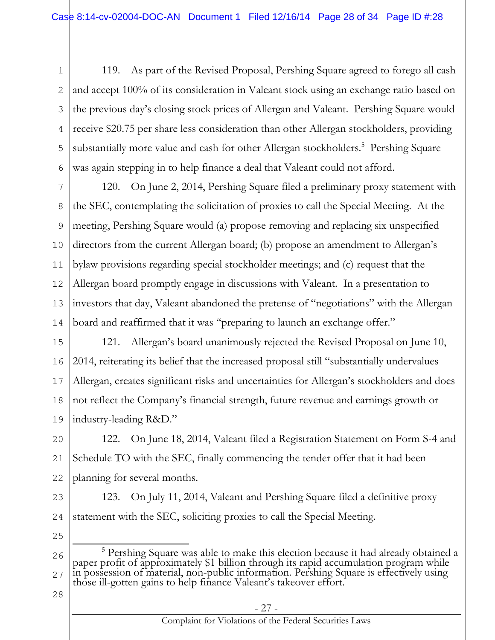1 2 3 4 5 6 119. As part of the Revised Proposal, Pershing Square agreed to forego all cash and accept 100% of its consideration in Valeant stock using an exchange ratio based on the previous day's closing stock prices of Allergan and Valeant. Pershing Square would receive \$20.75 per share less consideration than other Allergan stockholders, providing substantially more value and cash for other Allergan stockholders.<sup>5</sup> Pershing Square was again stepping in to help finance a deal that Valeant could not afford.

7 8 9 10 11 12 13 14 120. On June 2, 2014, Pershing Square filed a preliminary proxy statement with the SEC, contemplating the solicitation of proxies to call the Special Meeting. At the meeting, Pershing Square would (a) propose removing and replacing six unspecified directors from the current Allergan board; (b) propose an amendment to Allergan's bylaw provisions regarding special stockholder meetings; and (c) request that the Allergan board promptly engage in discussions with Valeant. In a presentation to investors that day, Valeant abandoned the pretense of "negotiations" with the Allergan board and reaffirmed that it was "preparing to launch an exchange offer."

15 16 17 18 19 121. Allergan's board unanimously rejected the Revised Proposal on June 10, 2014, reiterating its belief that the increased proposal still "substantially undervalues Allergan, creates significant risks and uncertainties for Allergan's stockholders and does not reflect the Company's financial strength, future revenue and earnings growth or industry-leading R&D."

20 21 22 122. On June 18, 2014, Valeant filed a Registration Statement on Form S-4 and Schedule TO with the SEC, finally commencing the tender offer that it had been planning for several months.

23 24 123. On July 11, 2014, Valeant and Pershing Square filed a definitive proxy statement with the SEC, soliciting proxies to call the Special Meeting.

25

26 27  $\overline{a}$ <sup>5</sup> Pershing Square was able to make this election because it had already obtained a paper profit of approximately \$1 billion through its rapid accumulation program while in possession of material, non-public information. Pershing Square is effectively using those ill-gotten gains to help finance Valeant's takeover effort.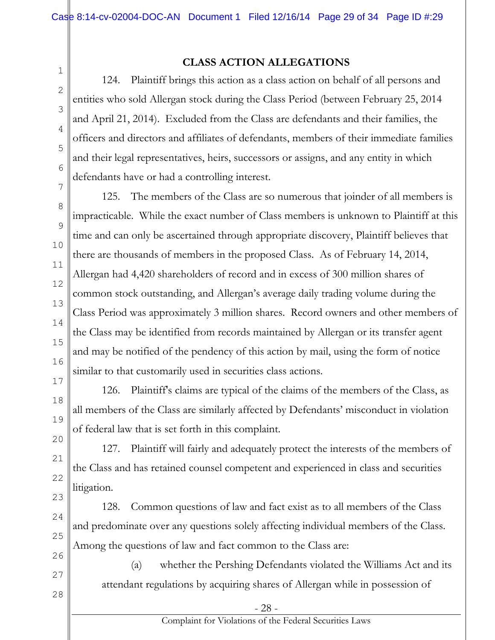**CLASS ACTION ALLEGATIONS**

124. Plaintiff brings this action as a class action on behalf of all persons and entities who sold Allergan stock during the Class Period (between February 25, 2014 and April 21, 2014). Excluded from the Class are defendants and their families, the officers and directors and affiliates of defendants, members of their immediate families and their legal representatives, heirs, successors or assigns, and any entity in which defendants have or had a controlling interest.

125. The members of the Class are so numerous that joinder of all members is impracticable. While the exact number of Class members is unknown to Plaintiff at this time and can only be ascertained through appropriate discovery, Plaintiff believes that there are thousands of members in the proposed Class. As of February 14, 2014, Allergan had 4,420 shareholders of record and in excess of 300 million shares of common stock outstanding, and Allergan's average daily trading volume during the Class Period was approximately 3 million shares. Record owners and other members of the Class may be identified from records maintained by Allergan or its transfer agent and may be notified of the pendency of this action by mail, using the form of notice similar to that customarily used in securities class actions.

126. Plaintiff's claims are typical of the claims of the members of the Class, as all members of the Class are similarly affected by Defendants' misconduct in violation of federal law that is set forth in this complaint.

127. Plaintiff will fairly and adequately protect the interests of the members of the Class and has retained counsel competent and experienced in class and securities litigation.

128. Common questions of law and fact exist as to all members of the Class and predominate over any questions solely affecting individual members of the Class. Among the questions of law and fact common to the Class are:

(a) whether the Pershing Defendants violated the Williams Act and its attendant regulations by acquiring shares of Allergan while in possession of

1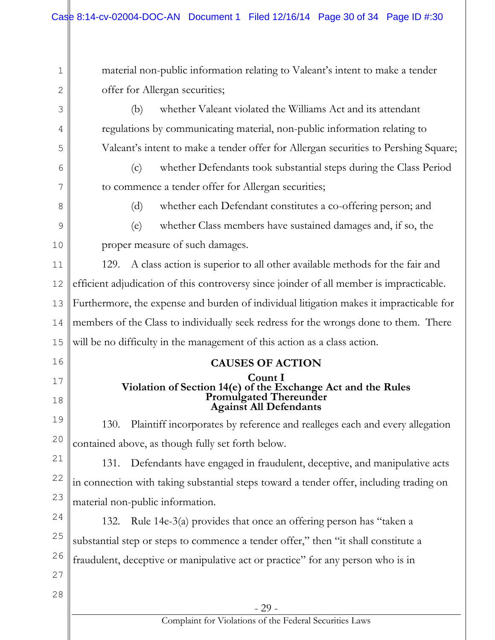- 29 - Complaint for Violations of the Federal Securities Laws 1 2 3 4 5 6 7 8 9 10 11 12 13 14 15 16 17 18 19 20 21 22 23 24 25 26 27 28 material non-public information relating to Valeant's intent to make a tender offer for Allergan securities; (b) whether Valeant violated the Williams Act and its attendant regulations by communicating material, non-public information relating to Valeant's intent to make a tender offer for Allergan securities to Pershing Square; (c) whether Defendants took substantial steps during the Class Period to commence a tender offer for Allergan securities; (d) whether each Defendant constitutes a co-offering person; and (e) whether Class members have sustained damages and, if so, the proper measure of such damages. 129. A class action is superior to all other available methods for the fair and efficient adjudication of this controversy since joinder of all member is impracticable. Furthermore, the expense and burden of individual litigation makes it impracticable for members of the Class to individually seek redress for the wrongs done to them. There will be no difficulty in the management of this action as a class action. **CAUSES OF ACTION Count I Violation of Section 14(e) of the Exchange Act and the Rules Promulgated Thereunder Against All Defendants** 130. Plaintiff incorporates by reference and realleges each and every allegation contained above, as though fully set forth below. 131. Defendants have engaged in fraudulent, deceptive, and manipulative acts in connection with taking substantial steps toward a tender offer, including trading on material non-public information. 132. Rule 14e-3(a) provides that once an offering person has "taken a substantial step or steps to commence a tender offer," then "it shall constitute a fraudulent, deceptive or manipulative act or practice" for any person who is in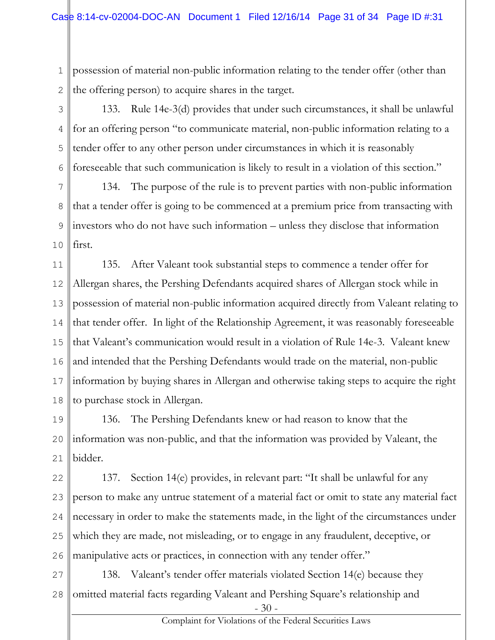1 2 possession of material non-public information relating to the tender offer (other than the offering person) to acquire shares in the target.

3 4 5 6 133. Rule 14e-3(d) provides that under such circumstances, it shall be unlawful for an offering person "to communicate material, non-public information relating to a tender offer to any other person under circumstances in which it is reasonably foreseeable that such communication is likely to result in a violation of this section."

7 8 9 10 134. The purpose of the rule is to prevent parties with non-public information that a tender offer is going to be commenced at a premium price from transacting with investors who do not have such information – unless they disclose that information first.

11 12 13 14 15 16 17 18 135. After Valeant took substantial steps to commence a tender offer for Allergan shares, the Pershing Defendants acquired shares of Allergan stock while in possession of material non-public information acquired directly from Valeant relating to that tender offer. In light of the Relationship Agreement, it was reasonably foreseeable that Valeant's communication would result in a violation of Rule 14e-3. Valeant knew and intended that the Pershing Defendants would trade on the material, non-public information by buying shares in Allergan and otherwise taking steps to acquire the right to purchase stock in Allergan.

19 20 21 136. The Pershing Defendants knew or had reason to know that the information was non-public, and that the information was provided by Valeant, the bidder.

22 23 24 25 26 137. Section 14(e) provides, in relevant part: "It shall be unlawful for any person to make any untrue statement of a material fact or omit to state any material fact necessary in order to make the statements made, in the light of the circumstances under which they are made, not misleading, or to engage in any fraudulent, deceptive, or manipulative acts or practices, in connection with any tender offer."

- 30 - 27 28 138. Valeant's tender offer materials violated Section 14(e) because they omitted material facts regarding Valeant and Pershing Square's relationship and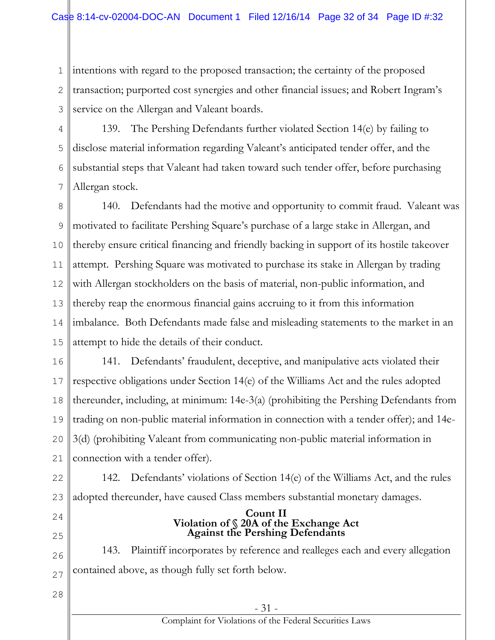1 2 3 intentions with regard to the proposed transaction; the certainty of the proposed transaction; purported cost synergies and other financial issues; and Robert Ingram's service on the Allergan and Valeant boards.

4 5 6 7 139. The Pershing Defendants further violated Section 14(e) by failing to disclose material information regarding Valeant's anticipated tender offer, and the substantial steps that Valeant had taken toward such tender offer, before purchasing Allergan stock.

8 9 10 11 12 13 14 15 140. Defendants had the motive and opportunity to commit fraud. Valeant was motivated to facilitate Pershing Square's purchase of a large stake in Allergan, and thereby ensure critical financing and friendly backing in support of its hostile takeover attempt. Pershing Square was motivated to purchase its stake in Allergan by trading with Allergan stockholders on the basis of material, non-public information, and thereby reap the enormous financial gains accruing to it from this information imbalance. Both Defendants made false and misleading statements to the market in an attempt to hide the details of their conduct.

16 17 18 19 20 21 141. Defendants' fraudulent, deceptive, and manipulative acts violated their respective obligations under Section 14(e) of the Williams Act and the rules adopted thereunder, including, at minimum: 14e-3(a) (prohibiting the Pershing Defendants from trading on non-public material information in connection with a tender offer); and 14e-3(d) (prohibiting Valeant from communicating non-public material information in connection with a tender offer).

22 23 142. Defendants' violations of Section 14(e) of the Williams Act, and the rules adopted thereunder, have caused Class members substantial monetary damages.

24

25

**Count II Violation of § 20A of the Exchange Act Against the Pershing Defendants**

26 27 143. Plaintiff incorporates by reference and realleges each and every allegation contained above, as though fully set forth below.

28

#### Complaint for Violations of the Federal Securities Laws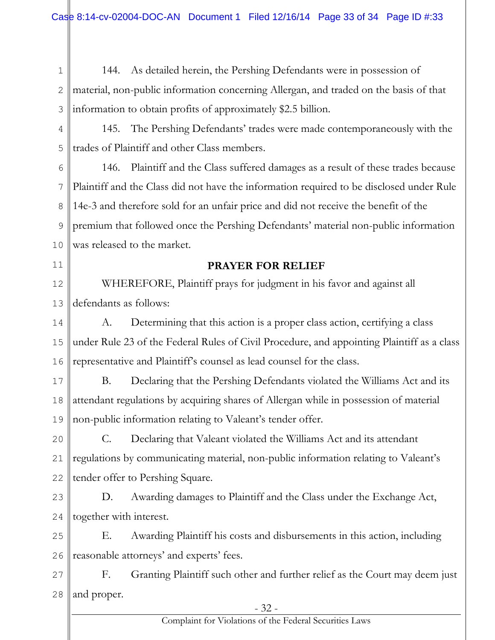1 2 3 144. As detailed herein, the Pershing Defendants were in possession of material, non-public information concerning Allergan, and traded on the basis of that information to obtain profits of approximately \$2.5 billion.

4 5 145. The Pershing Defendants' trades were made contemporaneously with the trades of Plaintiff and other Class members.

6 7 8 9 10 146. Plaintiff and the Class suffered damages as a result of these trades because Plaintiff and the Class did not have the information required to be disclosed under Rule 14e-3 and therefore sold for an unfair price and did not receive the benefit of the premium that followed once the Pershing Defendants' material non-public information was released to the market.

11

# **PRAYER FOR RELIEF**

12 13 WHEREFORE, Plaintiff prays for judgment in his favor and against all defendants as follows:

14 15 16 A. Determining that this action is a proper class action, certifying a class under Rule 23 of the Federal Rules of Civil Procedure, and appointing Plaintiff as a class representative and Plaintiff's counsel as lead counsel for the class.

17 18 19 B. Declaring that the Pershing Defendants violated the Williams Act and its attendant regulations by acquiring shares of Allergan while in possession of material non-public information relating to Valeant's tender offer.

20 21 22 C. Declaring that Valeant violated the Williams Act and its attendant regulations by communicating material, non-public information relating to Valeant's tender offer to Pershing Square.

23 24 D. Awarding damages to Plaintiff and the Class under the Exchange Act, together with interest.

25 26 E. Awarding Plaintiff his costs and disbursements in this action, including reasonable attorneys' and experts' fees.

27 28 F. Granting Plaintiff such other and further relief as the Court may deem just and proper.